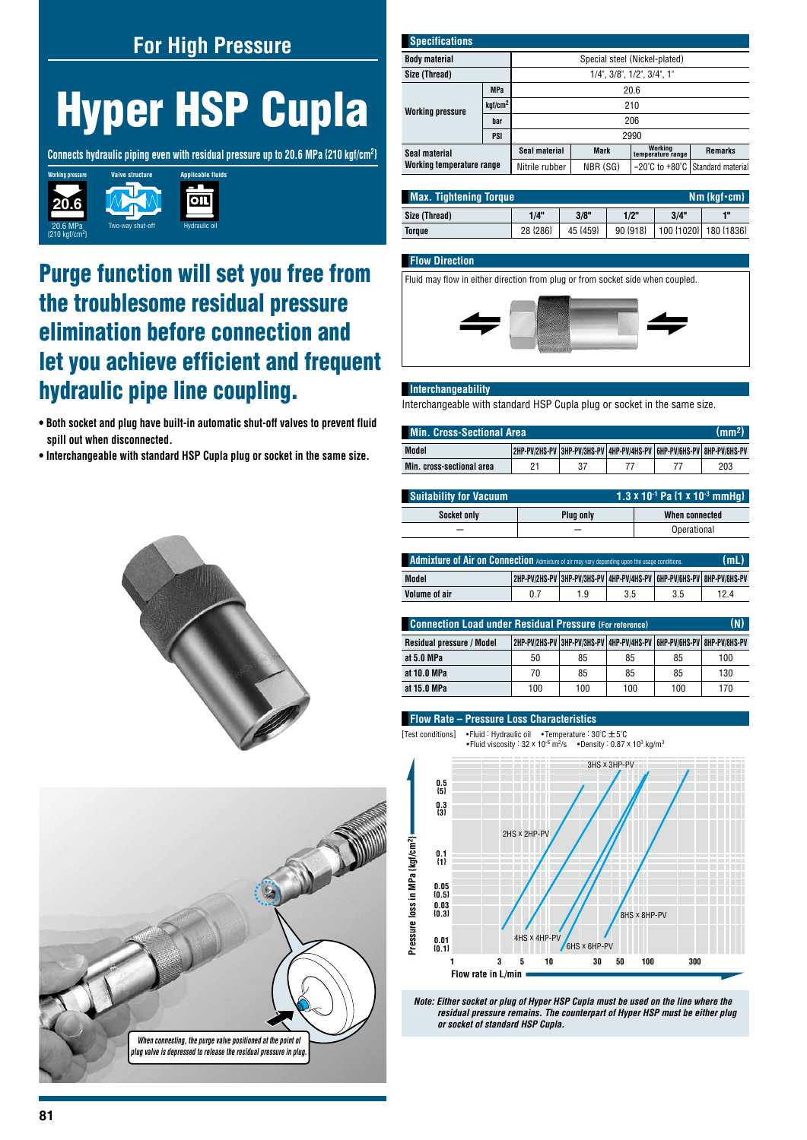## **For High Pressure**

# **Hyper HSP Cupla**

**Connects hydraulic piping even with residual pressure up to 20.6 MPa {210 kgf/cm2}**



## Purge function will set you free from the troublesome residual pressure elimination before connection and let you achieve efficient and frequent hydraulic pipe line coupling.

- **Both socket and plug have built-in automatic shut-off valves to prevent fluid spill out when disconnected.**
- **Interchangeable with standard HSP Cupla plug or socket in the same size.**





| <b>Specifications</b>                      |                     |                                           |             |                              |                                  |  |  |
|--------------------------------------------|---------------------|-------------------------------------------|-------------|------------------------------|----------------------------------|--|--|
| <b>Body material</b>                       |                     | Special steel (Nickel-plated)             |             |                              |                                  |  |  |
| Size (Thread)                              |                     | $1/4$ ", $3/8$ ", $1/2$ ", $3/4$ ", $1$ " |             |                              |                                  |  |  |
|                                            | <b>MPa</b>          | 20.6                                      |             |                              |                                  |  |  |
| <b>Working pressure</b>                    | kgf/cm <sup>2</sup> | 210                                       |             |                              |                                  |  |  |
|                                            | bar                 | 206                                       |             |                              |                                  |  |  |
|                                            | PSI                 | 2990                                      |             |                              |                                  |  |  |
| Seal material<br>Working temperature range |                     | Seal material                             | <b>Mark</b> | Working<br>temperature range | <b>Remarks</b>                   |  |  |
|                                            |                     | Nitrile rubber                            | NBR (SG)    |                              | -20°C to +80°C Standard material |  |  |

| <b>Max. Tightening Torque</b><br>$Nm$ {kgf $\cdot$ cm} |          |          |          |      |                       |
|--------------------------------------------------------|----------|----------|----------|------|-----------------------|
| Size (Thread)                                          | 1/4"     | 3/8"     | 1/2"     | 3/4" | 48                    |
| Toraue                                                 | 28 {286} | 45 {459} | 90 {918} |      | 100 {1020} 180 {1836} |

#### **Flow Direction**

Fluid may flow in either direction from plug or from socket side when coupled.



#### **Interchangeability**

Interchangeable with standard HSP Cupla plug or socket in the same size.

| (mm <sup>2</sup> )<br><b>Min. Cross-Sectional Area</b> |  |  |  |  |                                                                       |
|--------------------------------------------------------|--|--|--|--|-----------------------------------------------------------------------|
| Model                                                  |  |  |  |  | 2HP-PV/2HS-PV 3HP-PV/3HS-PV 4HP-PV/4HS-PV 6HP-PV/6HS-PV 8HP-PV/8HS-PV |
| Min. cross-sectional area                              |  |  |  |  | 203                                                                   |

| <b>Suitability for Vacuum</b> |                  | 1.3 x 10 <sup>-1</sup> Pa $\{1 \times 10^{-3} \text{ mmHa}\}$ |  |  |  |
|-------------------------------|------------------|---------------------------------------------------------------|--|--|--|
| <b>Socket only</b>            | <b>Plug only</b> | When connected                                                |  |  |  |
|                               |                  | Operational                                                   |  |  |  |

| (mL)<br><b>Admixture of Air on Connection</b> Admixture of air may vary depending upon the usage conditions. |     |     |     |     |                                                                       |
|--------------------------------------------------------------------------------------------------------------|-----|-----|-----|-----|-----------------------------------------------------------------------|
| Model                                                                                                        |     |     |     |     | 2HP-PV/2HS-PV 3HP-PV/3HS-PV 4HP-PV/4HS-PV 6HP-PV/6HS-PV 8HP-PV/8HS-PV |
| Volume of air                                                                                                | 0.7 | 1.9 | 3.5 | 3.5 | 124                                                                   |

| (N)<br><b>Connection Load under Residual Pressure (For reference)</b> |     |     |                                                                               |     |     |  |
|-----------------------------------------------------------------------|-----|-----|-------------------------------------------------------------------------------|-----|-----|--|
| Residual pressure / Model                                             |     |     | 2HP-PV/2HS-PV   3HP-PV/3HS-PV   4HP-PV/4HS-PV   6HP-PV/6HS-PV   8HP-PV/8HS-PV |     |     |  |
| at 5.0 MPa                                                            | 50  | 85  | 85                                                                            | 85  | 100 |  |
| at 10.0 MPa                                                           | 70  | 85  | 85                                                                            | 85  | 130 |  |
| at 15.0 MPa                                                           | 100 | 100 | 100                                                                           | 100 | 170 |  |

#### **Flow Rate – Pressure Loss Characteristics**

[Test conditions] •Fluid : Hydraulic oil •Temperature :  $30^{\circ}$   $\pm 5^{\circ}$ C<br>•Tluid viscosity :  $32 \times 10^{-6}$  m<sup>2</sup>/s •Density : 0.87 x 10<sup>3</sup> kg/m<sup>3</sup> •Fluid viscosity : 32 x 10 $\cdot$ 6 m<sup>2</sup>/s



*Note: Either socket or plug of Hyper HSP Cupla must be used on the line where the residual pressure remains. The counterpart of Hyper HSP must be either plug*